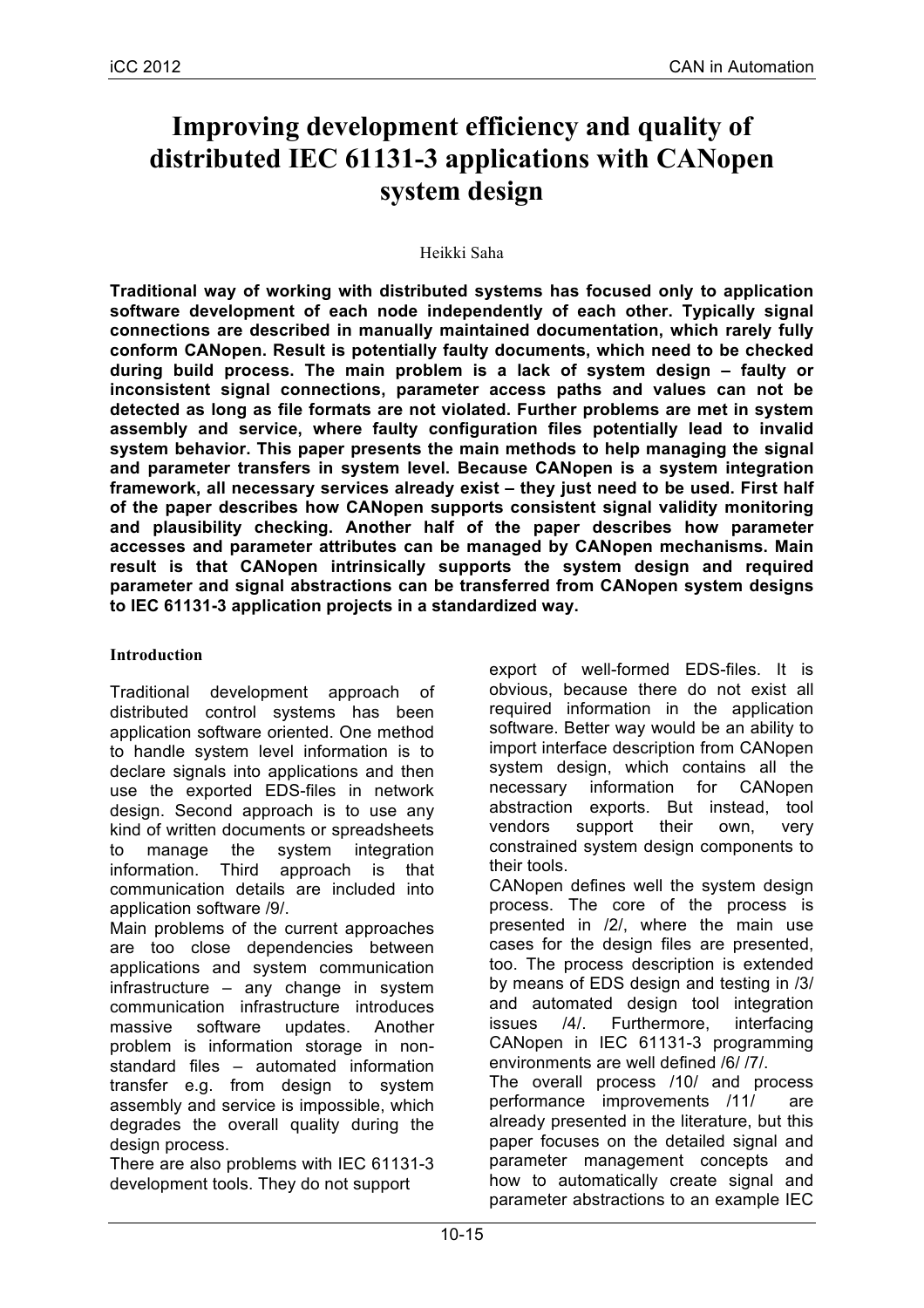# **Improving development efficiency and quality of distributed IEC 61131-3 applications with CANopen system design**

## Heikki Saha

**Traditional way of working with distributed systems has focused only to application software development of each node independently of each other. Typically signal connections are described in manually maintained documentation, which rarely fully conform CANopen. Result is potentially faulty documents, which need to be checked during build process. The main problem is a lack of system design – faulty or inconsistent signal connections, parameter access paths and values can not be detected as long as file formats are not violated. Further problems are met in system assembly and service, where faulty configuration files potentially lead to invalid system behavior. This paper presents the main methods to help managing the signal and parameter transfers in system level. Because CANopen is a system integration framework, all necessary services already exist – they just need to be used. First half of the paper describes how CANopen supports consistent signal validity monitoring and plausibility checking. Another half of the paper describes how parameter accesses and parameter attributes can be managed by CANopen mechanisms. Main result is that CANopen intrinsically supports the system design and required parameter and signal abstractions can be transferred from CANopen system designs to IEC 61131-3 application projects in a standardized way.**

# **Introduction**

Traditional development approach of distributed control systems has been application software oriented. One method to handle system level information is to declare signals into applications and then use the exported EDS-files in network design. Second approach is to use any kind of written documents or spreadsheets to manage the system integration information. Third approach is that communication details are included into application software /9/.

Main problems of the current approaches are too close dependencies between applications and system communication infrastructure – any change in system communication infrastructure introduces massive software updates. Another problem is information storage in nonstandard files – automated information transfer e.g. from design to system assembly and service is impossible, which degrades the overall quality during the design process.

There are also problems with IEC 61131-3 development tools. They do not support

export of well-formed EDS-files. It is obvious, because there do not exist all required information in the application software. Better way would be an ability to import interface description from CANopen system design, which contains all the necessary information for CANopen abstraction exports. But instead, tool vendors support their own, very constrained system design components to their tools.

CANopen defines well the system design process. The core of the process is presented in /2/, where the main use cases for the design files are presented, too. The process description is extended by means of EDS design and testing in /3/ and automated design tool integration issues /4/. Furthermore, interfacing CANopen in IEC 61131-3 programming environments are well defined /6/ /7/.

The overall process /10/ and process performance improvements /11/ already presented in the literature, but this paper focuses on the detailed signal and parameter management concepts and how to automatically create signal and parameter abstractions to an example IEC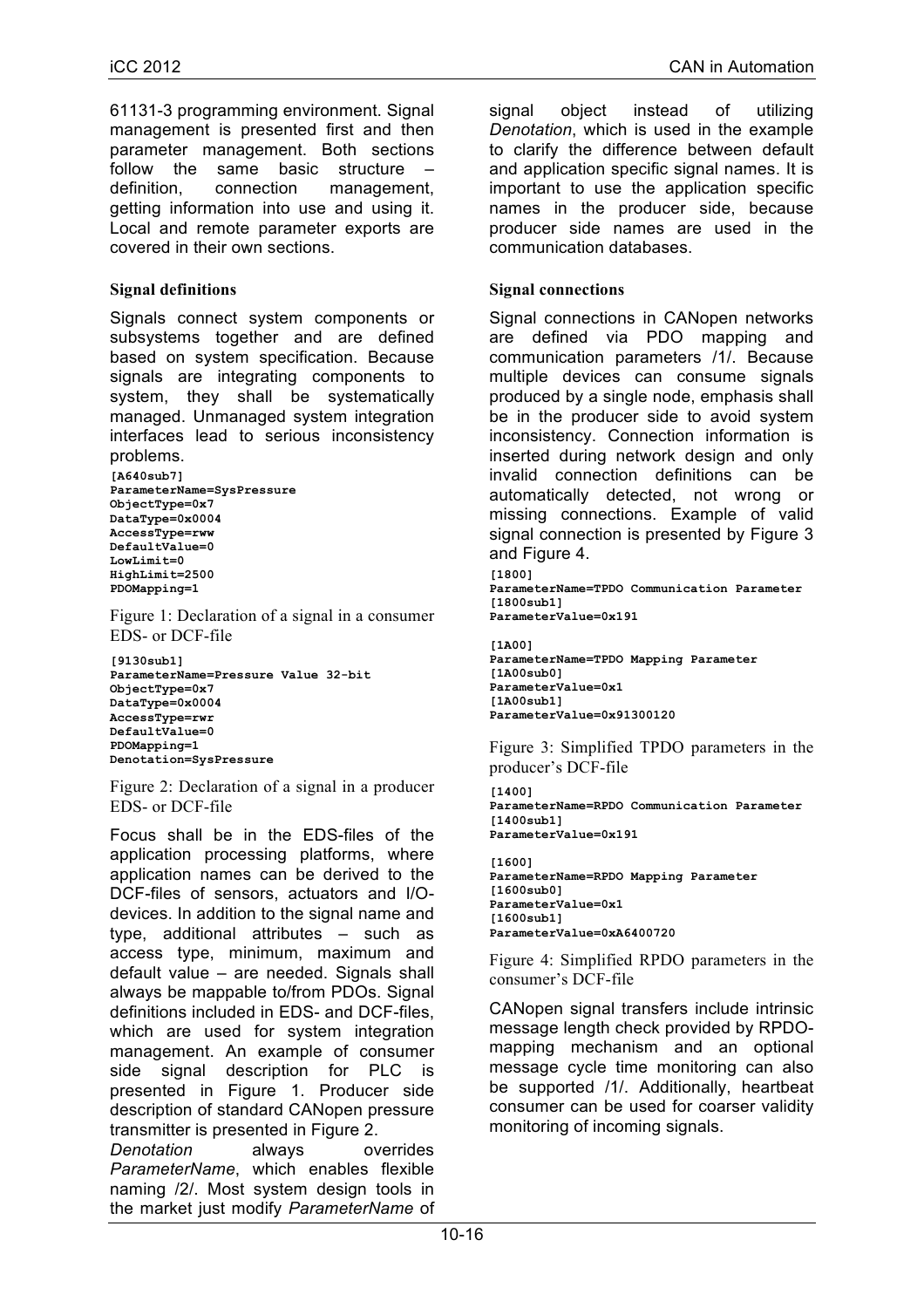61131-3 programming environment. Signal management is presented first and then parameter management. Both sections follow the same basic structure definition, connection management, getting information into use and using it. Local and remote parameter exports are covered in their own sections.

# **Signal definitions**

Signals connect system components or subsystems together and are defined based on system specification. Because signals are integrating components to system, they shall be systematically managed. Unmanaged system integration interfaces lead to serious inconsistency problems.

**[A640sub7] ParameterName=SysPressure ObjectType=0x7 DataType=0x0004 AccessType=rww DefaultValue=0 LowLimit=0 HighLimit=2500 PDOMapping=1**

Figure 1: Declaration of a signal in a consumer EDS- or DCF-file

**[9130sub1] ParameterName=Pressure Value 32-bit ObjectType=0x7 DataType=0x0004 AccessType=rwr DefaultValue=0 PDOMapping=1 Denotation=SysPressure**

Figure 2: Declaration of a signal in a producer EDS- or DCF-file

Focus shall be in the EDS-files of the application processing platforms, where application names can be derived to the DCF-files of sensors, actuators and I/Odevices. In addition to the signal name and type, additional attributes – such as access type, minimum, maximum and default value – are needed. Signals shall always be mappable to/from PDOs. Signal definitions included in EDS- and DCF-files, which are used for system integration management. An example of consumer side signal description for PLC is presented in Figure 1. Producer side description of standard CANopen pressure transmitter is presented in Figure 2.

*Denotation* always overrides *ParameterName*, which enables flexible naming /2/. Most system design tools in the market just modify *ParameterName* of signal object instead of utilizing *Denotation*, which is used in the example to clarify the difference between default and application specific signal names. It is important to use the application specific names in the producer side, because producer side names are used in the communication databases.

## **Signal connections**

Signal connections in CANopen networks are defined via PDO mapping and communication parameters /1/. Because multiple devices can consume signals produced by a single node, emphasis shall be in the producer side to avoid system inconsistency. Connection information is inserted during network design and only invalid connection definitions can be automatically detected, not wrong or missing connections. Example of valid signal connection is presented by Figure 3 and Figure 4.

```
[1800]
```

```
ParameterName=TPDO Communication Parameter
[1800sub1]
ParameterValue=0x191
```

```
[1A00]
ParameterName=TPDO Mapping Parameter
[1A00sub0]
ParameterValue=0x1
[1A00sub1]
ParameterValue=0x91300120
```
Figure 3: Simplified TPDO parameters in the producer's DCF-file

**[1400] ParameterName=RPDO Communication Parameter [1400sub1] ParameterValue=0x191**

```
[1600]
ParameterName=RPDO Mapping Parameter
[1600sub0]
ParameterValue=0x1
[1600sub1]
ParameterValue=0xA6400720
```
Figure 4: Simplified RPDO parameters in the consumer's DCF-file

CANopen signal transfers include intrinsic message length check provided by RPDOmapping mechanism and an optional message cycle time monitoring can also be supported /1/. Additionally, heartbeat consumer can be used for coarser validity monitoring of incoming signals.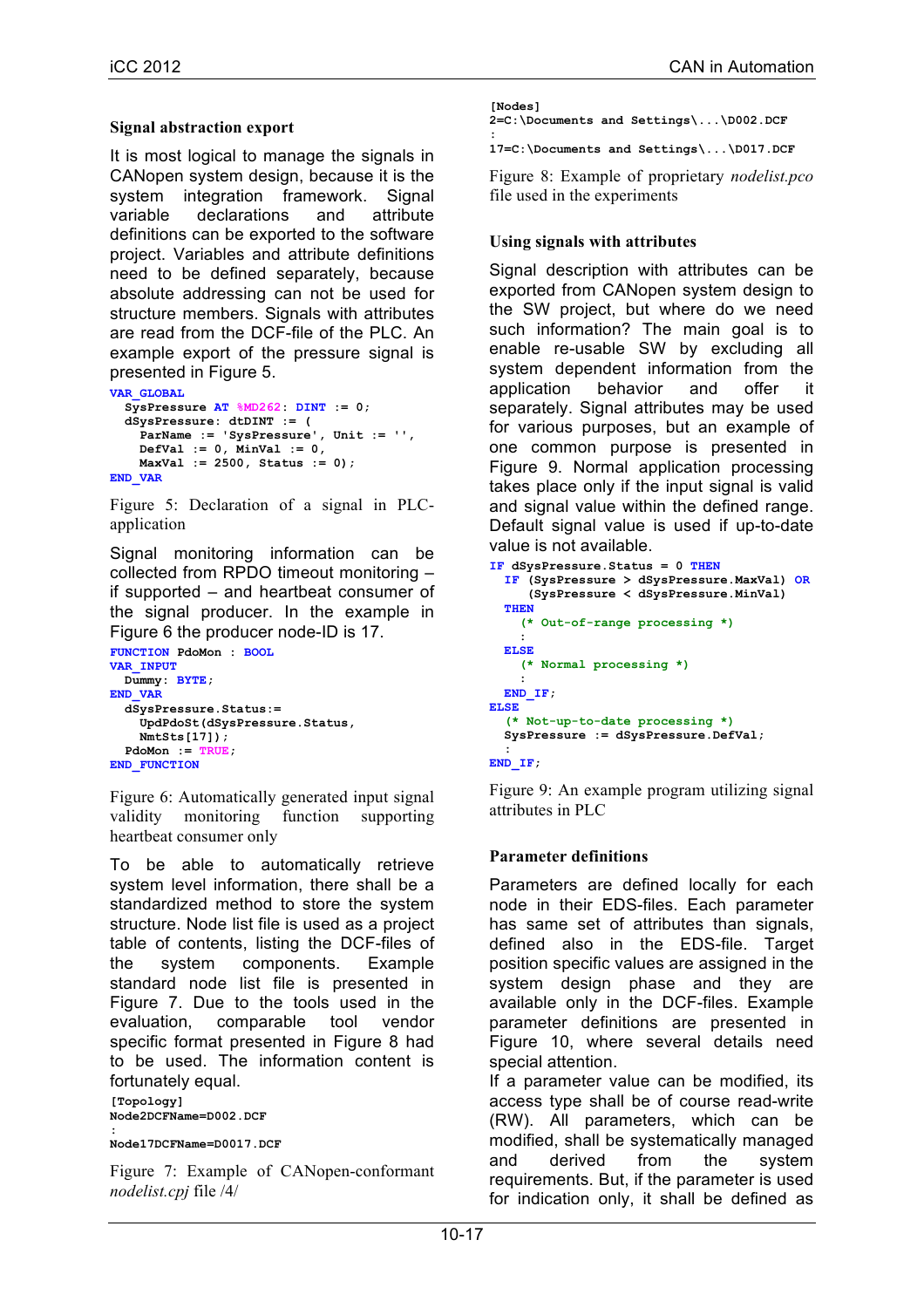### **Signal abstraction export**

It is most logical to manage the signals in CANopen system design, because it is the system integration framework. Signal variable declarations and attribute definitions can be exported to the software project. Variables and attribute definitions need to be defined separately, because absolute addressing can not be used for structure members. Signals with attributes are read from the DCF-file of the PLC. An example export of the pressure signal is presented in Figure 5.

```
VAR_GLOBAL
   SysPressure AT %MD262: DINT := 0;
   dSysPressure: dtDINT := (
     ParName := 'SysPressure', Unit := '',
     DefVal := 0, MinVal := 0,
     MaxVal := 2500, Status := 0);
END_VAR
```
Figure 5: Declaration of a signal in PLCapplication

Signal monitoring information can be collected from RPDO timeout monitoring – if supported – and heartbeat consumer of the signal producer. In the example in Figure 6 the producer node-ID is 17.

```
FUNCTION PdoMon : BOOL
VAR_INPUT
  Dummy: BYTE;
END_VAR
   dSysPressure.Status:=
     UpdPdoSt(dSysPressure.Status,
     NmtSts[17]);
   PdoMon := TRUE;
END_FUNCTION
```
Figure 6: Automatically generated input signal validity monitoring function supporting heartbeat consumer only

To be able to automatically retrieve system level information, there shall be a standardized method to store the system structure. Node list file is used as a project table of contents, listing the DCF-files of the system components. Example standard node list file is presented in Figure 7. Due to the tools used in the evaluation, comparable tool vendor specific format presented in Figure 8 had to be used. The information content is fortunately equal.

**[Topology] Node2DCFName=D002.DCF**

**: Node17DCFName=D0017.DCF**

Figure 7: Example of CANopen-conformant *nodelist.cpj* file /4/

| [Nodes]                               |  |  |
|---------------------------------------|--|--|
| 2=C:\Documents and Settings\\D002.DCF |  |  |

**: 17=C:\Documents and Settings\...\D017.DCF**

Figure 8: Example of proprietary *nodelist.pco* file used in the experiments

## **Using signals with attributes**

Signal description with attributes can be exported from CANopen system design to the SW project, but where do we need such information? The main goal is to enable re-usable SW by excluding all system dependent information from the application behavior and offer it separately. Signal attributes may be used for various purposes, but an example of one common purpose is presented in Figure 9. Normal application processing takes place only if the input signal is valid and signal value within the defined range. Default signal value is used if up-to-date value is not available.

```
IF dSysPressure.Status = 0 THEN
   IF (SysPressure > dSysPressure.MaxVal) OR
      (SysPressure < dSysPressure.MinVal)
   THEN
     (* Out-of-range processing *)
     :
   ELSE
     (* Normal processing *)
 :
 END_IF;
ELSE
   (* Not-up-to-date processing *)
   SysPressure := dSysPressure.DefVal;
 :
END_IF;
```
Figure 9: An example program utilizing signal attributes in PLC

## **Parameter definitions**

Parameters are defined locally for each node in their EDS-files. Each parameter has same set of attributes than signals, defined also in the EDS-file. Target position specific values are assigned in the system design phase and they are available only in the DCF-files. Example parameter definitions are presented in Figure 10, where several details need special attention.

If a parameter value can be modified, its access type shall be of course read-write (RW). All parameters, which can be modified, shall be systematically managed and derived from the system requirements. But, if the parameter is used for indication only, it shall be defined as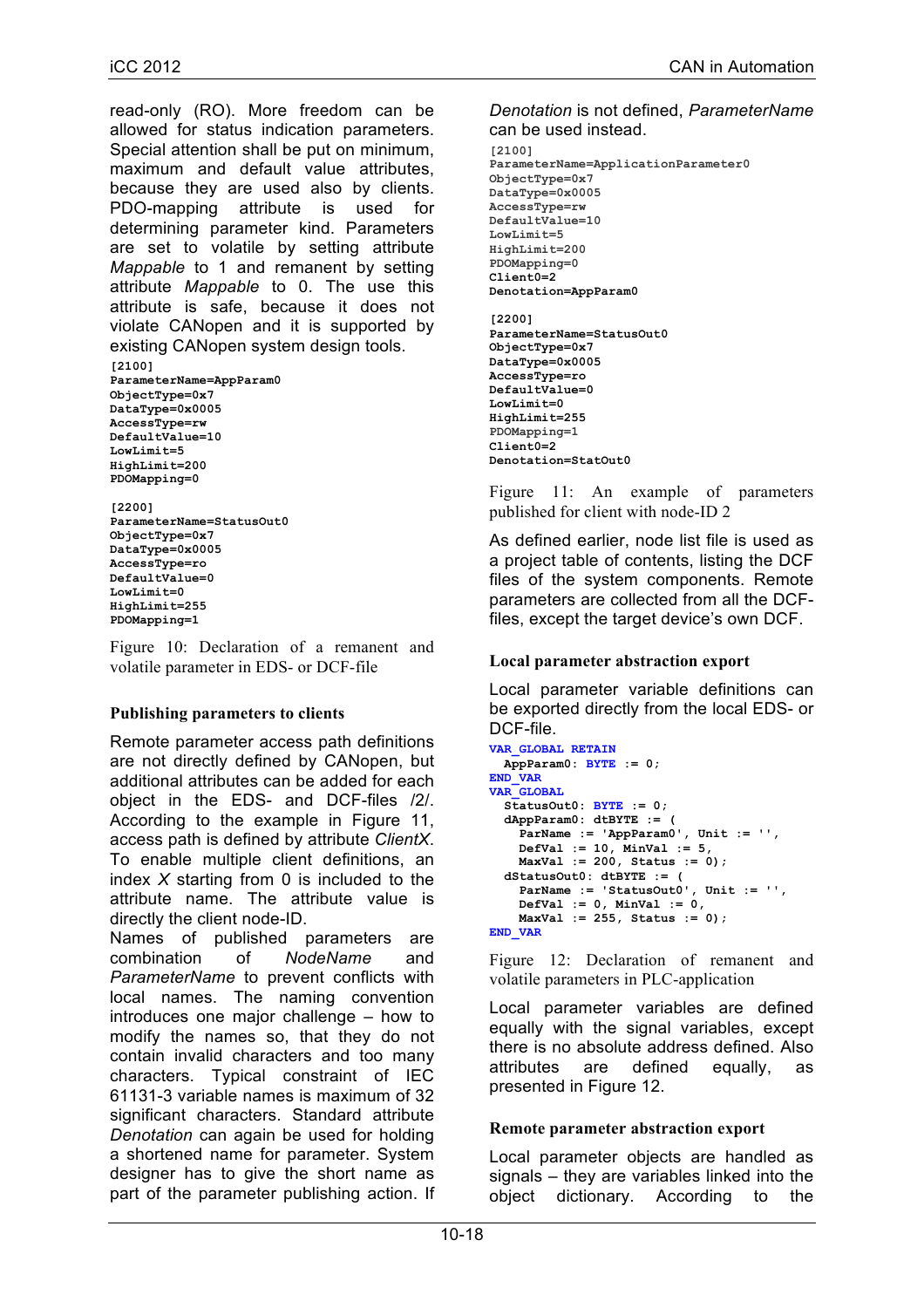read-only (RO). More freedom can be allowed for status indication parameters. Special attention shall be put on minimum, maximum and default value attributes, because they are used also by clients. PDO-mapping attribute is used for determining parameter kind. Parameters are set to volatile by setting attribute *Mappable* to 1 and remanent by setting attribute *Mappable* to 0. The use this attribute is safe, because it does not violate CANopen and it is supported by existing CANopen system design tools.

```
[2100]
ParameterName=AppParam0
ObjectType=0x7
DataType=0x0005
AccessType=rw
DefaultValue=10
LowLimit=5
HighLimit=200
PDOMapping=0
```
**[2200] ParameterName=StatusOut0 ObjectType=0x7 DataType=0x0005 AccessType=ro DefaultValue=0 LowLimit=0 HighLimit=255 PDOMapping=1**

Figure 10: Declaration of a remanent and volatile parameter in EDS- or DCF-file

# **Publishing parameters to clients**

Remote parameter access path definitions are not directly defined by CANopen, but additional attributes can be added for each object in the EDS- and DCF-files /2/. According to the example in Figure 11, access path is defined by attribute *ClientX*. To enable multiple client definitions, an index *X* starting from 0 is included to the attribute name. The attribute value is directly the client node-ID.

Names of published parameters are combination of *NodeName* and *ParameterName* to prevent conflicts with local names. The naming convention introduces one major challenge – how to modify the names so, that they do not contain invalid characters and too many characters. Typical constraint of IEC 61131-3 variable names is maximum of 32 significant characters. Standard attribute *Denotation* can again be used for holding a shortened name for parameter. System designer has to give the short name as part of the parameter publishing action. If

#### *Denotation* is not defined, *ParameterName* can be used instead.

**[2100] ParameterName=ApplicationParameter0 ObjectType=0x7 DataType=0x0005 AccessType=rw DefaultValue=10 LowLimit=5 HighLimit=200 PDOMapping=0 Client0=2 Denotation=AppParam0 [2200] ParameterName=StatusOut0 ObjectType=0x7 DataType=0x0005 AccessType=ro DefaultValue=0 LowLimit=0**

**HighLimit=255 PDOMapping=1 Client0=2 Denotation=StatOut0**

Figure 11: An example of parameters published for client with node-ID 2

As defined earlier, node list file is used as a project table of contents, listing the DCF files of the system components. Remote parameters are collected from all the DCFfiles, except the target device's own DCF.

# **Local parameter abstraction export**

Local parameter variable definitions can be exported directly from the local EDS- or DCF-file.

```
VAR_GLOBAL RETAIN
  AppParam0: BYTE := 0;
END_VAR
VAR_GLOBAL
   StatusOut0: BYTE := 0;
   dAppParam0: dtBYTE := (
    ParName := 'AppParam0', Unit := '',
     DefVal := 10, MinVal := 5,
     MaxVal := 200, Status := 0);
   dStatusOut0: dtBYTE := (
     ParName := 'StatusOut0', Unit := '',
     DefVal := 0, MinVal := 0,
     MaxVal := 255, Status := 0);
END_VAR
```
Figure 12: Declaration of remanent and volatile parameters in PLC-application

Local parameter variables are defined equally with the signal variables, except there is no absolute address defined. Also attributes are defined equally, as presented in Figure 12.

## **Remote parameter abstraction export**

Local parameter objects are handled as signals – they are variables linked into the object dictionary. According to the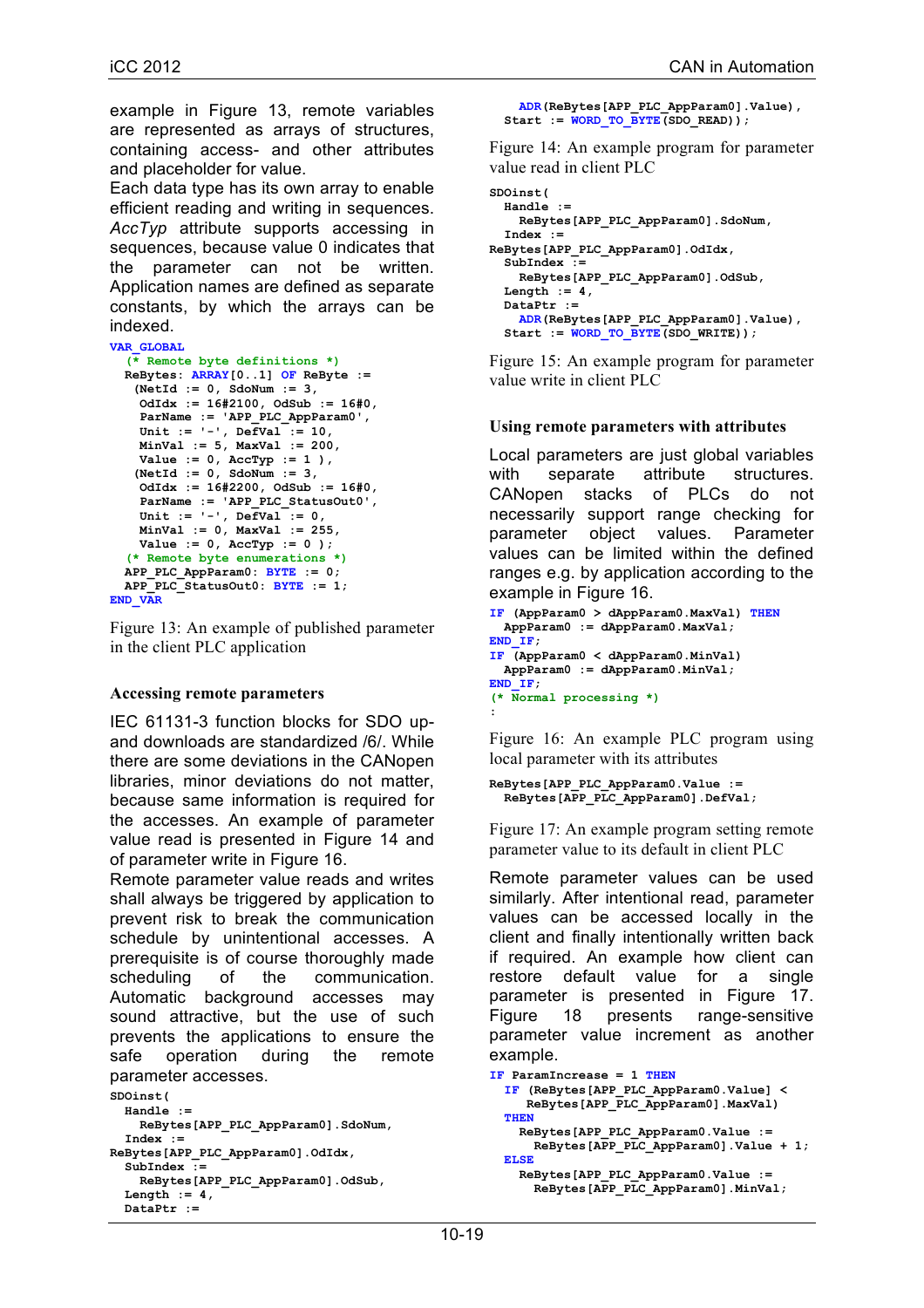example in Figure 13, remote variables are represented as arrays of structures, containing access- and other attributes and placeholder for value.

Each data type has its own array to enable efficient reading and writing in sequences. *AccTyp* attribute supports accessing in sequences, because value 0 indicates that the parameter can not be written. Application names are defined as separate constants, by which the arrays can be indexed.

```
VAR_GLOBAL
```

```
 (* Remote byte definitions *)
   ReBytes: ARRAY[0..1] OF ReByte := 
    (NetId := 0, SdoNum := 3,
     OdIdx := 16#2100, OdSub := 16#0,
     ParName := 'APP_PLC_AppParam0',
     Unit := '-', DefVal := 10,
     MinVal := 5, MaxVal := 200,
     Value := 0, AccTyp := 1 ),
    (NetId := 0, SdoNum := 3,
     OdIdx := 16#2200, OdSub := 16#0,
     ParName := 'APP_PLC_StatusOut0',
     Unit := '-', DefVal := 0,
     MinVal := 0, MaxVal := 255,
    Value := 0, AccType := 0 );
   (* Remote byte enumerations *)
  APP_PLC_AppParam0: BYTE := 0;
  APP_PLC_StatusOut0: BYTE := 1;
END_VAR
```
Figure 13: An example of published parameter in the client PLC application

## **Accessing remote parameters**

IEC 61131-3 function blocks for SDO upand downloads are standardized /6/. While there are some deviations in the CANopen libraries, minor deviations do not matter, because same information is required for the accesses. An example of parameter value read is presented in Figure 14 and of parameter write in Figure 16.

Remote parameter value reads and writes shall always be triggered by application to prevent risk to break the communication schedule by unintentional accesses. A prerequisite is of course thoroughly made scheduling of the communication. Automatic background accesses may sound attractive, but the use of such prevents the applications to ensure the safe operation during the remote parameter accesses.

```
SDOinst(
   Handle :=
     ReBytes[APP_PLC_AppParam0].SdoNum,
   Index := 
ReBytes[APP_PLC_AppParam0].OdIdx,
   SubIndex :=
     ReBytes[APP_PLC_AppParam0].OdSub,
  Length := 4,
   DataPtr :=
```

```
 ADR(ReBytes[APP_PLC_AppParam0].Value),
Start := WORD_TO_BYTE(SDO_READ));
```
Figure 14: An example program for parameter value read in client PLC

```
SDOinst(
  Handle :=
     ReBytes[APP_PLC_AppParam0].SdoNum,
   Index := 
ReBytes[APP_PLC_AppParam0].OdIdx,
   SubIndex :=
    ReBytes[APP_PLC_AppParam0].OdSub,
  Length := 4,
   DataPtr :=
     ADR(ReBytes[APP_PLC_AppParam0].Value),
  Start := WORK TO BYTE(SDO WRITE));
```
Figure 15: An example program for parameter value write in client PLC

## **Using remote parameters with attributes**

Local parameters are just global variables with separate attribute structures. CANopen stacks of PLCs do not necessarily support range checking for parameter object values. Parameter values can be limited within the defined ranges e.g. by application according to the example in Figure 16.

```
IF (AppParam0 > dAppParam0.MaxVal) THEN
  AppParam0 := dAppParam0.MaxVal;
END_IF;
IF (AppParam0 < dAppParam0.MinVal)
  AppParam0 := dAppParam0.MinVal;
END_IF;
(* Normal processing *)
:
```
Figure 16: An example PLC program using local parameter with its attributes

```
ReBytes[APP_PLC_AppParam0.Value :=
   ReBytes[APP_PLC_AppParam0].DefVal;
```
Figure 17: An example program setting remote parameter value to its default in client PLC

Remote parameter values can be used similarly. After intentional read, parameter values can be accessed locally in the client and finally intentionally written back if required. An example how client can restore default value for a single parameter is presented in Figure 17. Figure 18 presents range-sensitive parameter value increment as another example.

```
IF ParamIncrease = 1 THEN
  IF (ReBytes[APP_PLC_AppParam0.Value] <
     ReBytes[APP_PLC_AppParam0].MaxVal)
  THEN
    ReBytes[APP_PLC_AppParam0.Value :=
      ReBytes[APP_PLC_AppParam0].Value + 1;
  ELSE
    ReBytes[APP_PLC_AppParam0.Value :=
      ReBytes[APP_PLC_AppParam0].MinVal;
```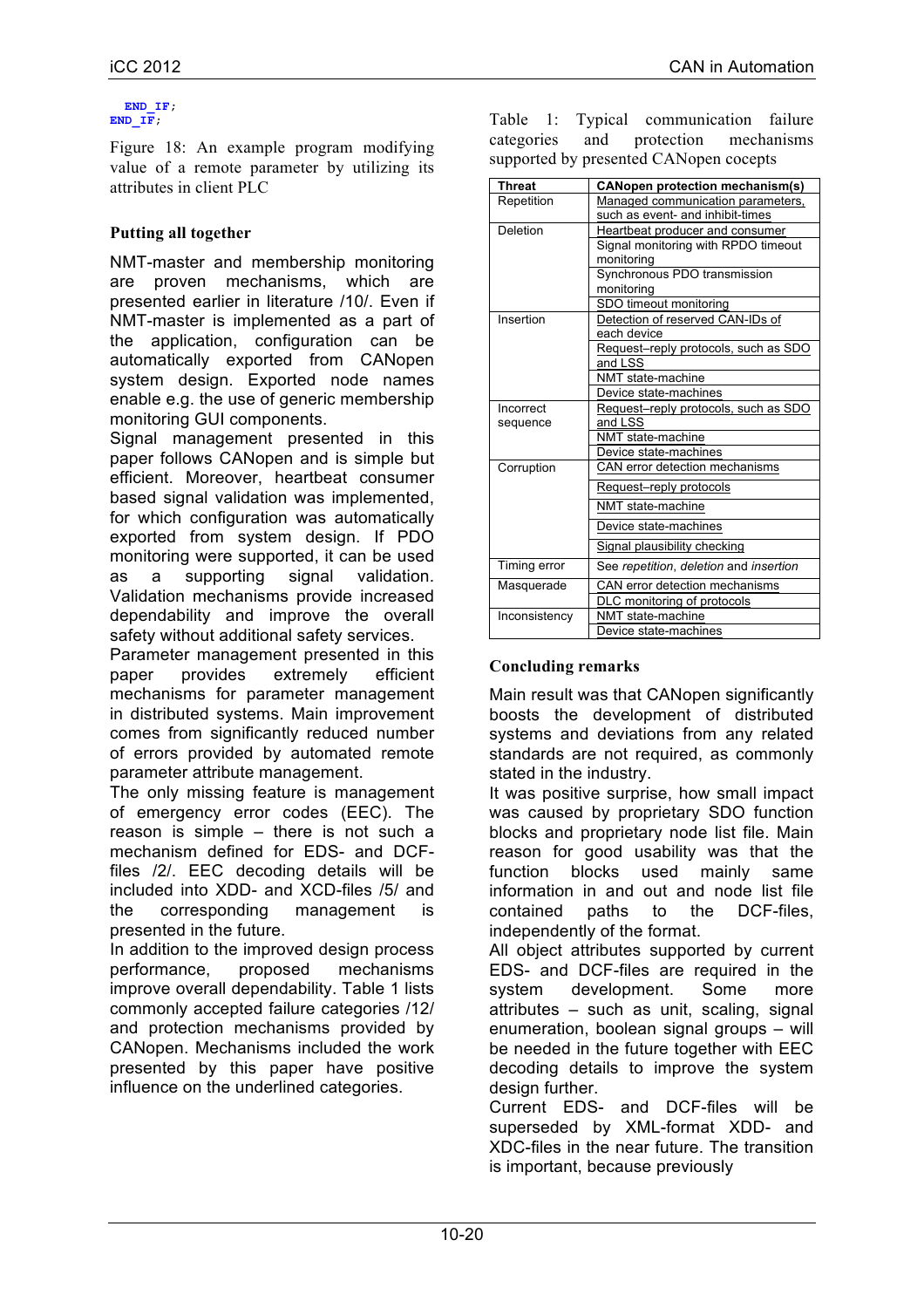#### **END\_IF; END\_IF;**

Figure 18: An example program modifying value of a remote parameter by utilizing its attributes in client PLC

# **Putting all together**

NMT-master and membership monitoring are proven mechanisms, which are presented earlier in literature /10/. Even if NMT-master is implemented as a part of the application, configuration can be automatically exported from CANopen system design. Exported node names enable e.g. the use of generic membership monitoring GUI components.

Signal management presented in this paper follows CANopen and is simple but efficient. Moreover, heartbeat consumer based signal validation was implemented, for which configuration was automatically exported from system design. If PDO monitoring were supported, it can be used as a supporting signal validation. Validation mechanisms provide increased dependability and improve the overall safety without additional safety services.

Parameter management presented in this paper provides extremely efficient mechanisms for parameter management in distributed systems. Main improvement comes from significantly reduced number of errors provided by automated remote parameter attribute management.

The only missing feature is management of emergency error codes (EEC). The reason is simple – there is not such a mechanism defined for EDS- and DCFfiles /2/. EEC decoding details will be included into XDD- and XCD-files /5/ and the corresponding management is presented in the future.

In addition to the improved design process performance, proposed mechanisms improve overall dependability. Table 1 lists commonly accepted failure categories /12/ and protection mechanisms provided by CANopen. Mechanisms included the work presented by this paper have positive influence on the underlined categories.

Table 1: Typical communication failure categories and protection mechanisms supported by presented CANopen cocepts

| <b>Threat</b> | <b>CANopen protection mechanism(s)</b>     |
|---------------|--------------------------------------------|
| Repetition    | Managed communication parameters,          |
|               | such as event- and inhibit-times           |
| Deletion      | Heartbeat producer and consumer            |
|               | Signal monitoring with RPDO timeout        |
|               | monitoring                                 |
|               | Synchronous PDO transmission               |
|               | monitoring                                 |
|               | SDO timeout monitoring                     |
| Insertion     | Detection of reserved CAN-IDs of           |
|               | each device                                |
|               | Request-reply protocols, such as SDO       |
|               | and LSS                                    |
|               | NMT state-machine                          |
|               | Device state-machines                      |
| Incorrect     | Request-reply protocols, such as SDO       |
| sequence      | and LSS                                    |
|               | NMT state-machine<br>Device state-machines |
|               | CAN error detection mechanisms             |
| Corruption    |                                            |
|               | Request-reply protocols                    |
|               | NMT state-machine                          |
|               | Device state-machines                      |
|               | Signal plausibility checking               |
| Timing error  | See repetition, deletion and insertion     |
| Masquerade    | CAN error detection mechanisms             |
|               | DLC monitoring of protocols                |
| Inconsistency | NMT state-machine                          |
|               | Device state-machines                      |

# **Concluding remarks**

Main result was that CANopen significantly boosts the development of distributed systems and deviations from any related standards are not required, as commonly stated in the industry.

It was positive surprise, how small impact was caused by proprietary SDO function blocks and proprietary node list file. Main reason for good usability was that the function blocks used mainly same information in and out and node list file contained paths to the DCF-files, independently of the format.

All object attributes supported by current EDS- and DCF-files are required in the system development. Some more attributes – such as unit, scaling, signal enumeration, boolean signal groups – will be needed in the future together with EEC decoding details to improve the system design further.

Current EDS- and DCF-files will be superseded by XML-format XDD- and XDC-files in the near future. The transition is important, because previously